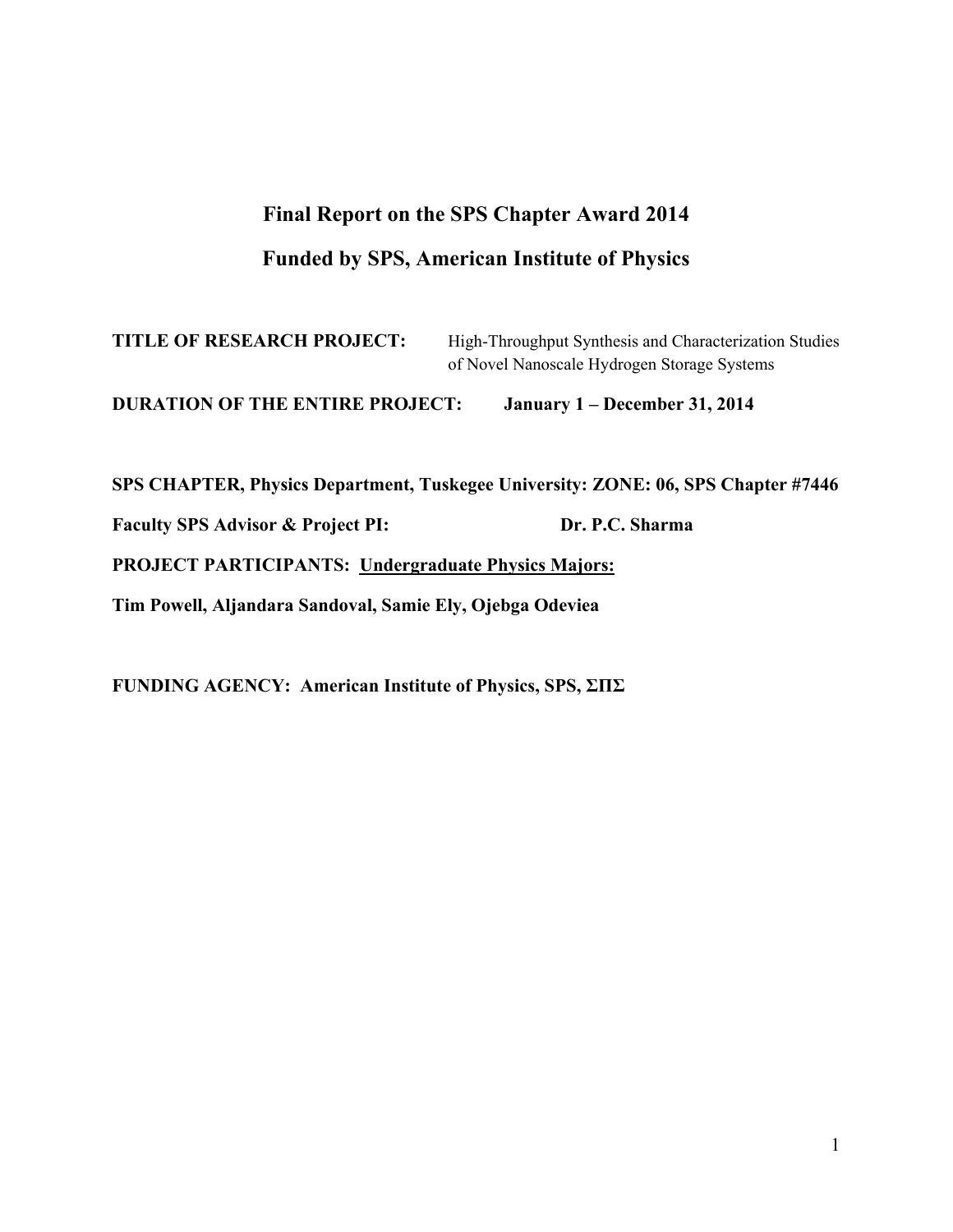# **Final Report on the SPS Chapter Award 2014 Funded by SPS, American Institute of Physics**

**TITLE OF RESEARCH PROJECT:** High-Throughput Synthesis and Characterization Studies of Novel Nanoscale Hydrogen Storage Systems

**DURATION OF THE ENTIRE PROJECT: January 1 – December 31, 2014**

**SPS CHAPTER, Physics Department, Tuskegee University: ZONE: 06, SPS Chapter #7446** 

**Faculty SPS Advisor & Project PI: Dr. P.C. Sharma** 

**PROJECT PARTICIPANTS: Undergraduate Physics Majors:** 

**Tim Powell, Aljandara Sandoval, Samie Ely, Ojebga Odeviea** 

**FUNDING AGENCY: American Institute of Physics, SPS, ΣΠΣ**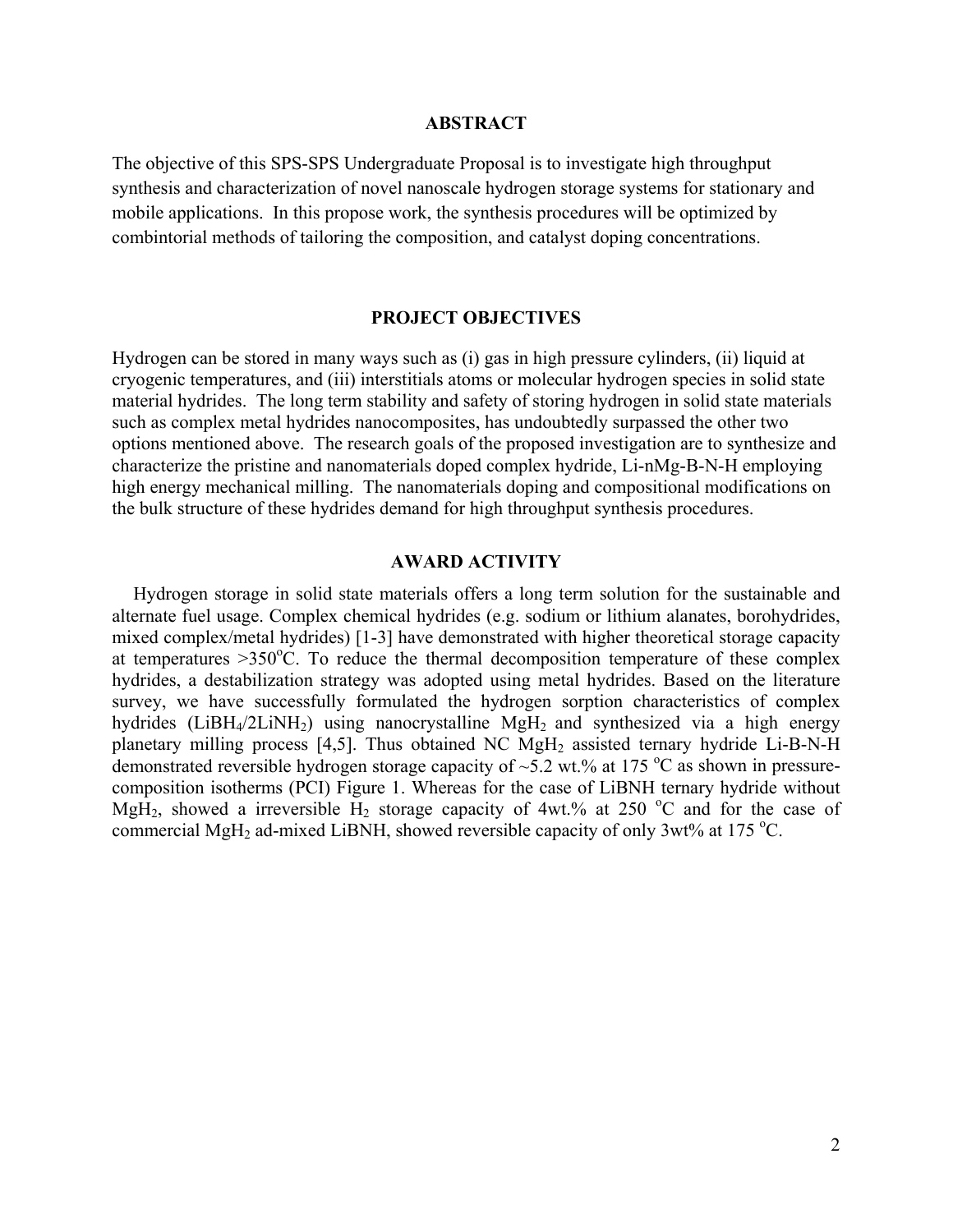#### **ABSTRACT**

The objective of this SPS-SPS Undergraduate Proposal is to investigate high throughput synthesis and characterization of novel nanoscale hydrogen storage systems for stationary and mobile applications. In this propose work, the synthesis procedures will be optimized by combintorial methods of tailoring the composition, and catalyst doping concentrations.

## **PROJECT OBJECTIVES**

Hydrogen can be stored in many ways such as (i) gas in high pressure cylinders, (ii) liquid at cryogenic temperatures, and (iii) interstitials atoms or molecular hydrogen species in solid state material hydrides. The long term stability and safety of storing hydrogen in solid state materials such as complex metal hydrides nanocomposites, has undoubtedly surpassed the other two options mentioned above. The research goals of the proposed investigation are to synthesize and characterize the pristine and nanomaterials doped complex hydride, Li-nMg-B-N-H employing high energy mechanical milling. The nanomaterials doping and compositional modifications on the bulk structure of these hydrides demand for high throughput synthesis procedures.

#### **AWARD ACTIVITY**

Hydrogen storage in solid state materials offers a long term solution for the sustainable and alternate fuel usage. Complex chemical hydrides (e.g. sodium or lithium alanates, borohydrides, mixed complex/metal hydrides) [1-3] have demonstrated with higher theoretical storage capacity at temperatures  $>350^{\circ}$ C. To reduce the thermal decomposition temperature of these complex hydrides, a destabilization strategy was adopted using metal hydrides. Based on the literature survey, we have successfully formulated the hydrogen sorption characteristics of complex hydrides (LiBH<sub>4</sub>/2LiNH<sub>2</sub>) using nanocrystalline MgH<sub>2</sub> and synthesized via a high energy planetary milling process [4,5]. Thus obtained NC MgH2 assisted ternary hydride Li-B-N-H demonstrated reversible hydrogen storage capacity of  $\sim$ 5.2 wt.% at 175 °C as shown in pressurecomposition isotherms (PCI) Figure 1. Whereas for the case of LiBNH ternary hydride without MgH<sub>2</sub>, showed a irreversible H<sub>2</sub> storage capacity of 4wt.% at 250 °C and for the case of commercial MgH<sub>2</sub> ad-mixed LiBNH, showed reversible capacity of only 3wt% at 175 °C.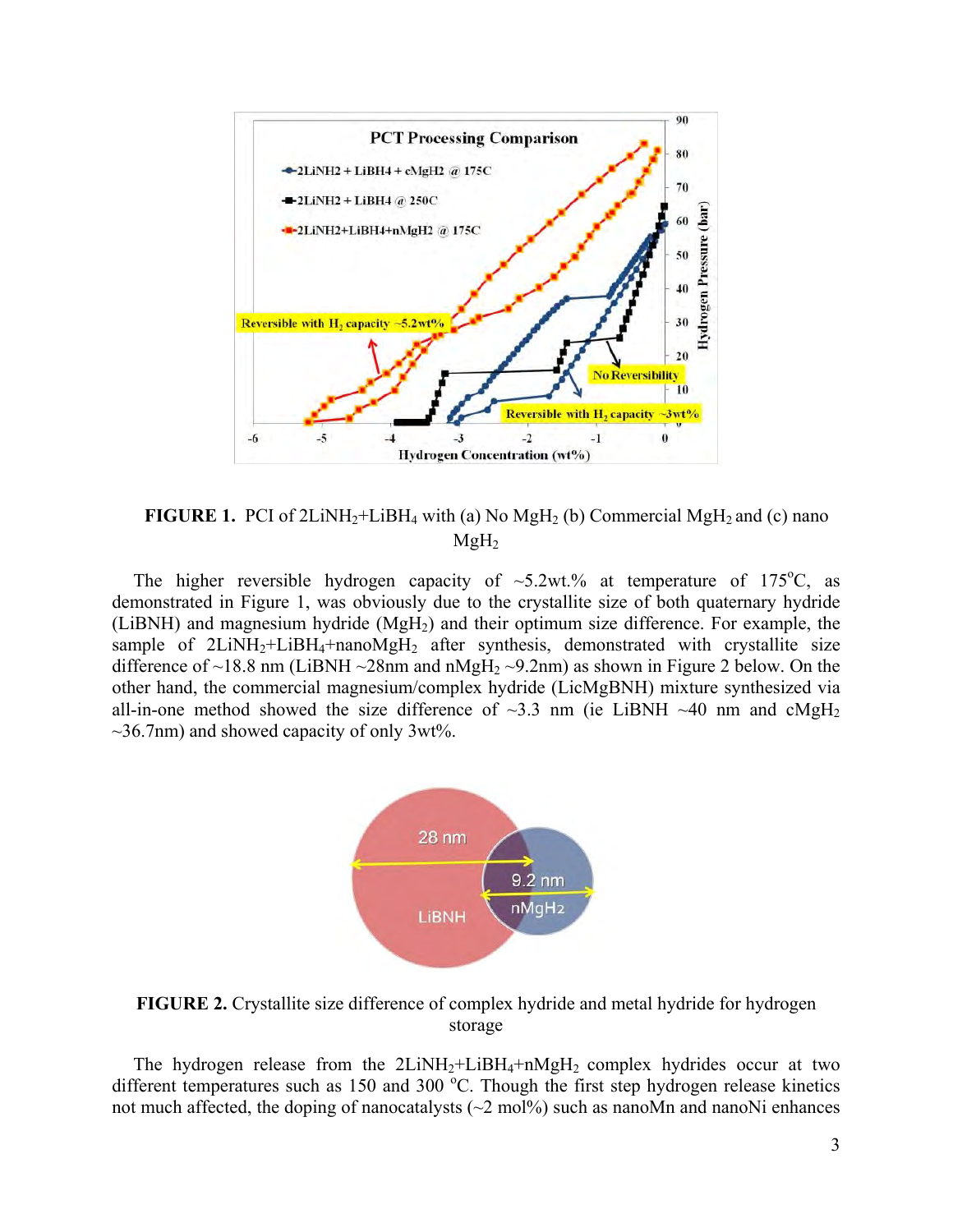

**FIGURE 1.** PCI of  $2LiNH_2+LiBH_4$  with (a) No MgH<sub>2</sub> (b) Commercial MgH<sub>2</sub> and (c) nano  $MgH<sub>2</sub>$ 

The higher reversible hydrogen capacity of  $\sim$ 5.2wt.% at temperature of 175°C, as demonstrated in Figure 1, was obviously due to the crystallite size of both quaternary hydride (LiBNH) and magnesium hydride (MgH2) and their optimum size difference. For example, the sample of  $2LiNH<sub>2</sub>+LiBH<sub>4</sub>+nanoMgH<sub>2</sub>$  after synthesis, demonstrated with crystallite size difference of ~18.8 nm (LiBNH ~28nm and nMgH<sub>2</sub> ~9.2nm) as shown in Figure 2 below. On the other hand, the commercial magnesium/complex hydride (LicMgBNH) mixture synthesized via all-in-one method showed the size difference of  $\sim$ 3.3 nm (ie LiBNH  $\sim$ 40 nm and cMgH<sub>2</sub>  $\sim$ 36.7nm) and showed capacity of only 3wt%.



**FIGURE 2.** Crystallite size difference of complex hydride and metal hydride for hydrogen storage

The hydrogen release from the  $2LiNH<sub>2</sub>+LiBH<sub>4</sub>+nMgH<sub>2</sub>$  complex hydrides occur at two different temperatures such as 150 and 300 °C. Though the first step hydrogen release kinetics not much affected, the doping of nanocatalysts  $(\sim 2 \text{ mol})$  such as nanoMn and nanoNi enhances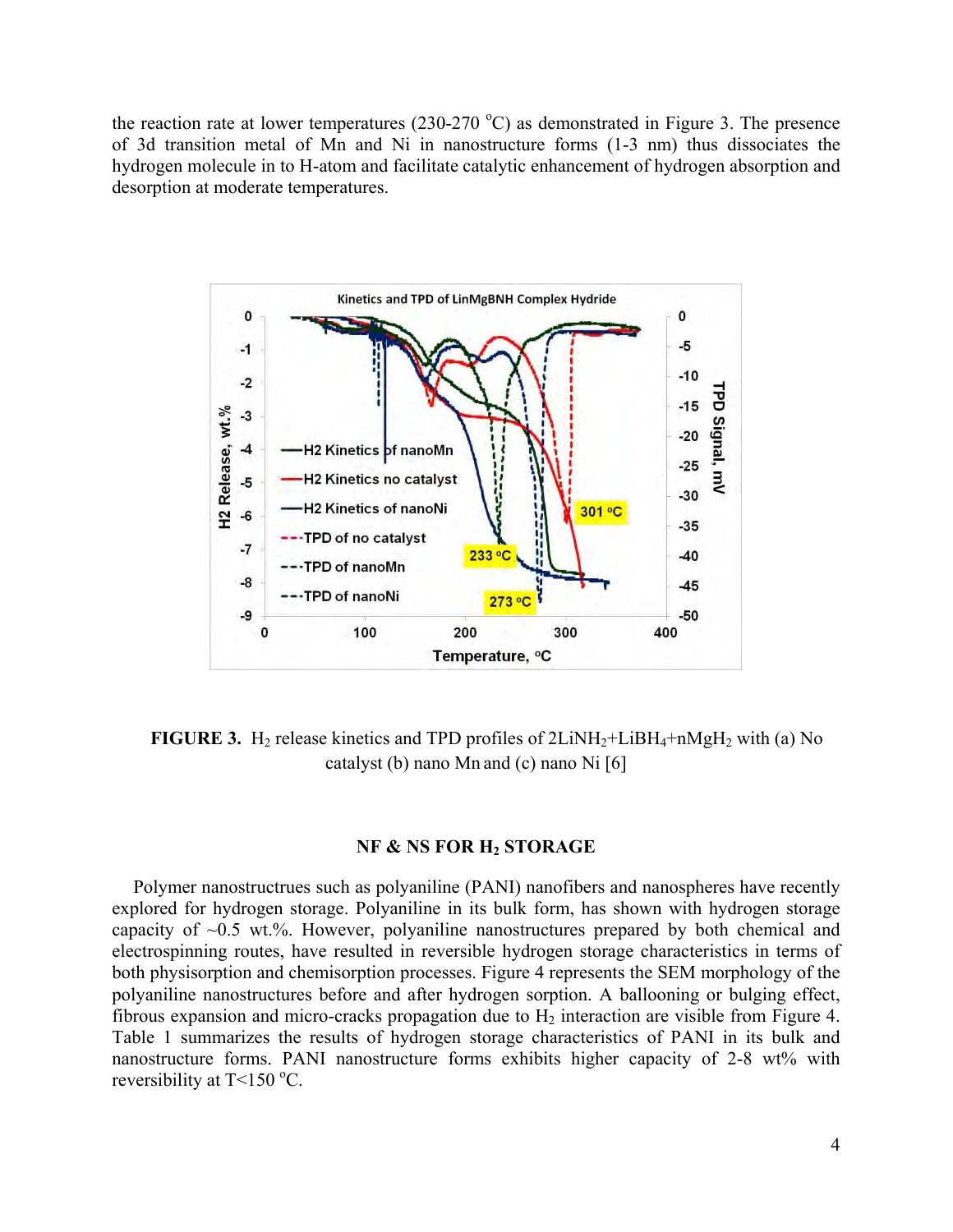the reaction rate at lower temperatures ( $230-270$  °C) as demonstrated in Figure 3. The presence of 3d transition metal of Mn and Ni in nanostructure forms (1-3 nm) thus dissociates the hydrogen molecule in to H-atom and facilitate catalytic enhancement of hydrogen absorption and desorption at moderate temperatures.



**FIGURE 3.** H<sub>2</sub> release kinetics and TPD profiles of  $2LiNH<sub>2</sub>+LiBH<sub>4</sub>+nMgH<sub>2</sub>$  with (a) No catalyst (b) nano Mn and (c) nano Ni [6]

#### **NF & NS FOR H2 STORAGE**

Polymer nanostructrues such as polyaniline (PANI) nanofibers and nanospheres have recently explored for hydrogen storage. Polyaniline in its bulk form, has shown with hydrogen storage capacity of ~0.5 wt.%. However, polyaniline nanostructures prepared by both chemical and electrospinning routes, have resulted in reversible hydrogen storage characteristics in terms of both physisorption and chemisorption processes. Figure 4 represents the SEM morphology of the polyaniline nanostructures before and after hydrogen sorption. A ballooning or bulging effect, fibrous expansion and micro-cracks propagation due to  $H_2$  interaction are visible from Figure 4. Table 1 summarizes the results of hydrogen storage characteristics of PANI in its bulk and nanostructure forms. PANI nanostructure forms exhibits higher capacity of 2-8 wt% with reversibility at  $T < 150$  °C.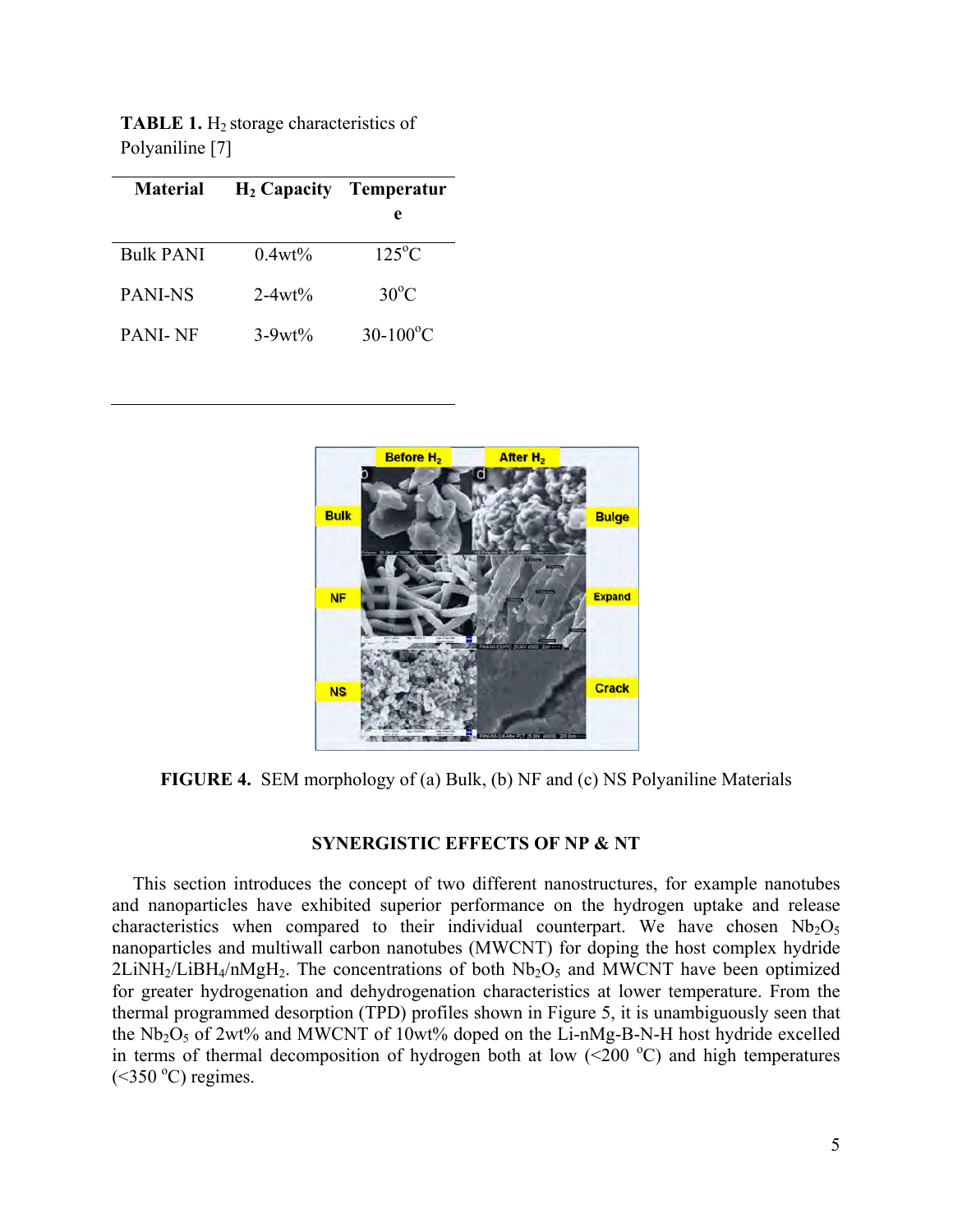| <b>Material</b>  |             | H <sub>2</sub> Capacity Temperatur |
|------------------|-------------|------------------------------------|
|                  |             | е                                  |
| <b>Bulk PANI</b> | $0.4wt\%$   | $125^{\circ}$ C                    |
| <b>PANI-NS</b>   | $2 - 4wt\%$ | $30^{\circ}$ C                     |
| <b>PANI-NF</b>   | $3-9wt\%$   | $30-100^{\circ}$ C                 |

**TABLE 1.** H<sub>2</sub> storage characteristics of Polyaniline [7]



**FIGURE 4.** SEM morphology of (a) Bulk, (b) NF and (c) NS Polyaniline Materials

# **SYNERGISTIC EFFECTS OF NP & NT**

This section introduces the concept of two different nanostructures, for example nanotubes and nanoparticles have exhibited superior performance on the hydrogen uptake and release characteristics when compared to their individual counterpart. We have chosen  $Nb<sub>2</sub>O<sub>5</sub>$ nanoparticles and multiwall carbon nanotubes (MWCNT) for doping the host complex hydride  $2LiNH<sub>2</sub>/LiBH<sub>4</sub>/nMgH<sub>2</sub>$ . The concentrations of both  $Nb<sub>2</sub>O<sub>5</sub>$  and MWCNT have been optimized for greater hydrogenation and dehydrogenation characteristics at lower temperature. From the thermal programmed desorption (TPD) profiles shown in Figure 5, it is unambiguously seen that the  $Nb<sub>2</sub>O<sub>5</sub>$  of  $2wt%$  and MWCNT of 10wt% doped on the Li-nMg-B-N-H host hydride excelled in terms of thermal decomposition of hydrogen both at low  $(\leq 200$  °C) and high temperatures  $(\leq 350 \degree C)$  regimes.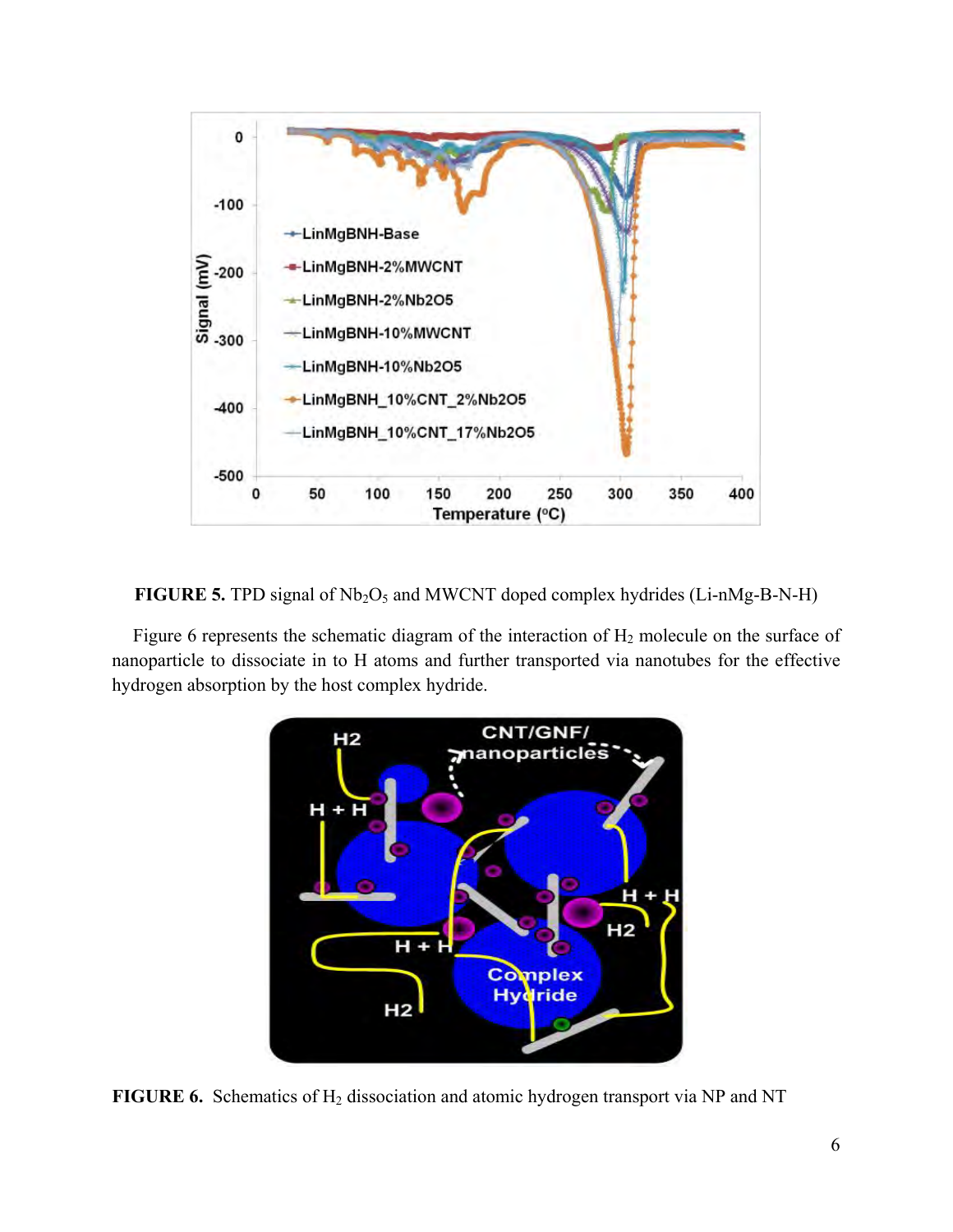

**FIGURE 5.** TPD signal of Nb<sub>2</sub>O<sub>5</sub> and MWCNT doped complex hydrides (Li-nMg-B-N-H)

Figure 6 represents the schematic diagram of the interaction of  $H_2$  molecule on the surface of nanoparticle to dissociate in to H atoms and further transported via nanotubes for the effective hydrogen absorption by the host complex hydride.



**FIGURE 6.** Schematics of H<sub>2</sub> dissociation and atomic hydrogen transport via NP and NT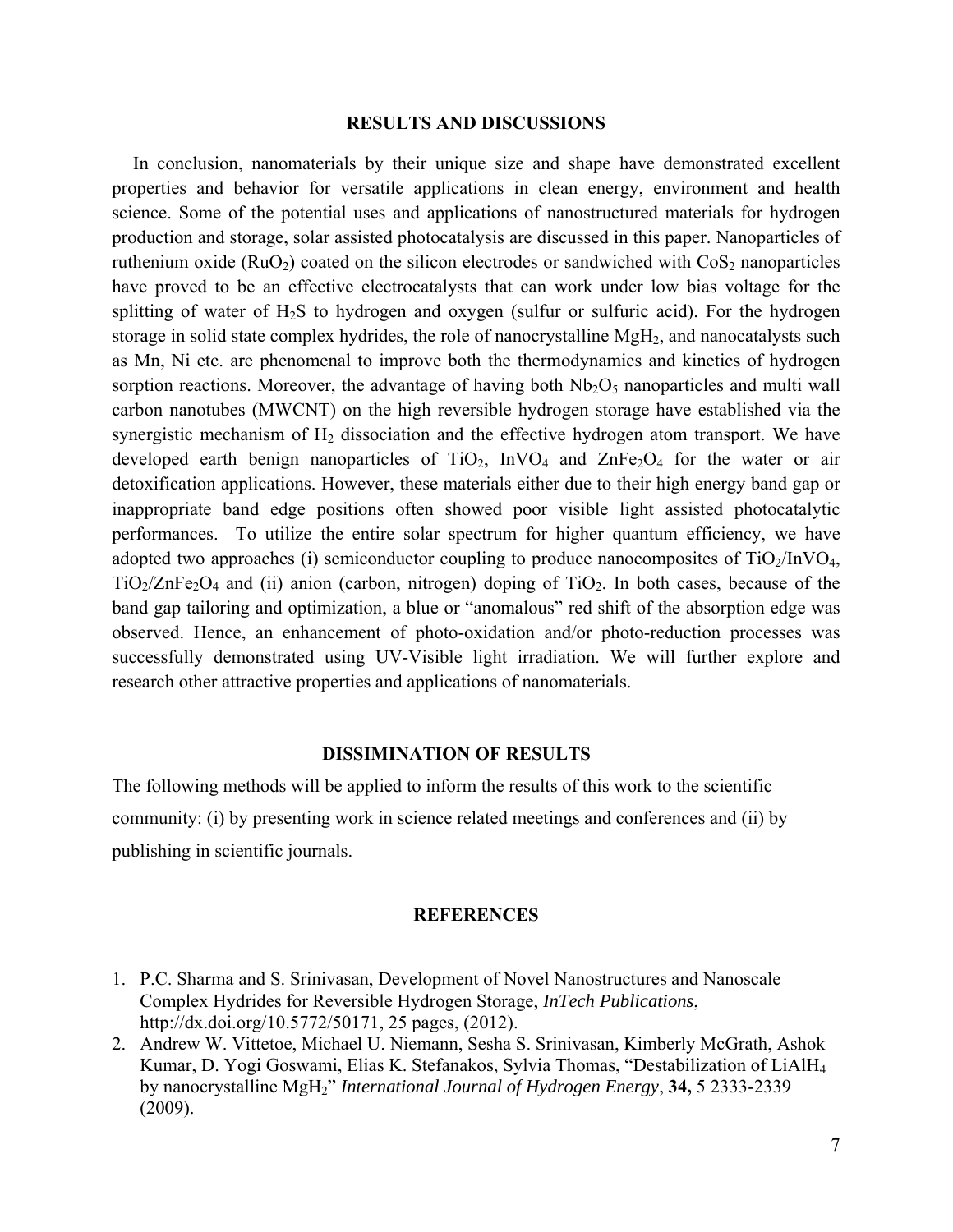#### **RESULTS AND DISCUSSIONS**

In conclusion, nanomaterials by their unique size and shape have demonstrated excellent properties and behavior for versatile applications in clean energy, environment and health science. Some of the potential uses and applications of nanostructured materials for hydrogen production and storage, solar assisted photocatalysis are discussed in this paper. Nanoparticles of ruthenium oxide  $(RuO<sub>2</sub>)$  coated on the silicon electrodes or sandwiched with  $CoS<sub>2</sub>$  nanoparticles have proved to be an effective electrocatalysts that can work under low bias voltage for the splitting of water of  $H_2S$  to hydrogen and oxygen (sulfur or sulfuric acid). For the hydrogen storage in solid state complex hydrides, the role of nanocrystalline  $MgH<sub>2</sub>$ , and nanocatalysts such as Mn, Ni etc. are phenomenal to improve both the thermodynamics and kinetics of hydrogen sorption reactions. Moreover, the advantage of having both  $Nb<sub>2</sub>O<sub>5</sub>$  nanoparticles and multi wall carbon nanotubes (MWCNT) on the high reversible hydrogen storage have established via the synergistic mechanism of  $H_2$  dissociation and the effective hydrogen atom transport. We have developed earth benign nanoparticles of  $TiO<sub>2</sub>$ ,  $InVO<sub>4</sub>$  and  $ZnFe<sub>2</sub>O<sub>4</sub>$  for the water or air detoxification applications. However, these materials either due to their high energy band gap or inappropriate band edge positions often showed poor visible light assisted photocatalytic performances. To utilize the entire solar spectrum for higher quantum efficiency, we have adopted two approaches (i) semiconductor coupling to produce nanocomposites of  $TiO<sub>2</sub>/InVO<sub>4</sub>$ ,  $TiO<sub>2</sub>/ZnFe<sub>2</sub>O<sub>4</sub>$  and (ii) anion (carbon, nitrogen) doping of TiO<sub>2</sub>. In both cases, because of the band gap tailoring and optimization, a blue or "anomalous" red shift of the absorption edge was observed. Hence, an enhancement of photo-oxidation and/or photo-reduction processes was successfully demonstrated using UV-Visible light irradiation. We will further explore and research other attractive properties and applications of nanomaterials.

### **DISSIMINATION OF RESULTS**

The following methods will be applied to inform the results of this work to the scientific community: (i) by presenting work in science related meetings and conferences and (ii) by publishing in scientific journals.

#### **REFERENCES**

- 1. P.C. Sharma and S. Srinivasan, Development of Novel Nanostructures and Nanoscale Complex Hydrides for Reversible Hydrogen Storage, *InTech Publications*, http://dx.doi.org/10.5772/50171, 25 pages, (2012).
- 2. Andrew W. Vittetoe, Michael U. Niemann, Sesha S. Srinivasan, Kimberly McGrath, Ashok Kumar, D. Yogi Goswami, Elias K. Stefanakos, Sylvia Thomas, "Destabilization of LiAlH4 by nanocrystalline MgH2" *International Journal of Hydrogen Energy*, **34,** 5 2333-2339 (2009).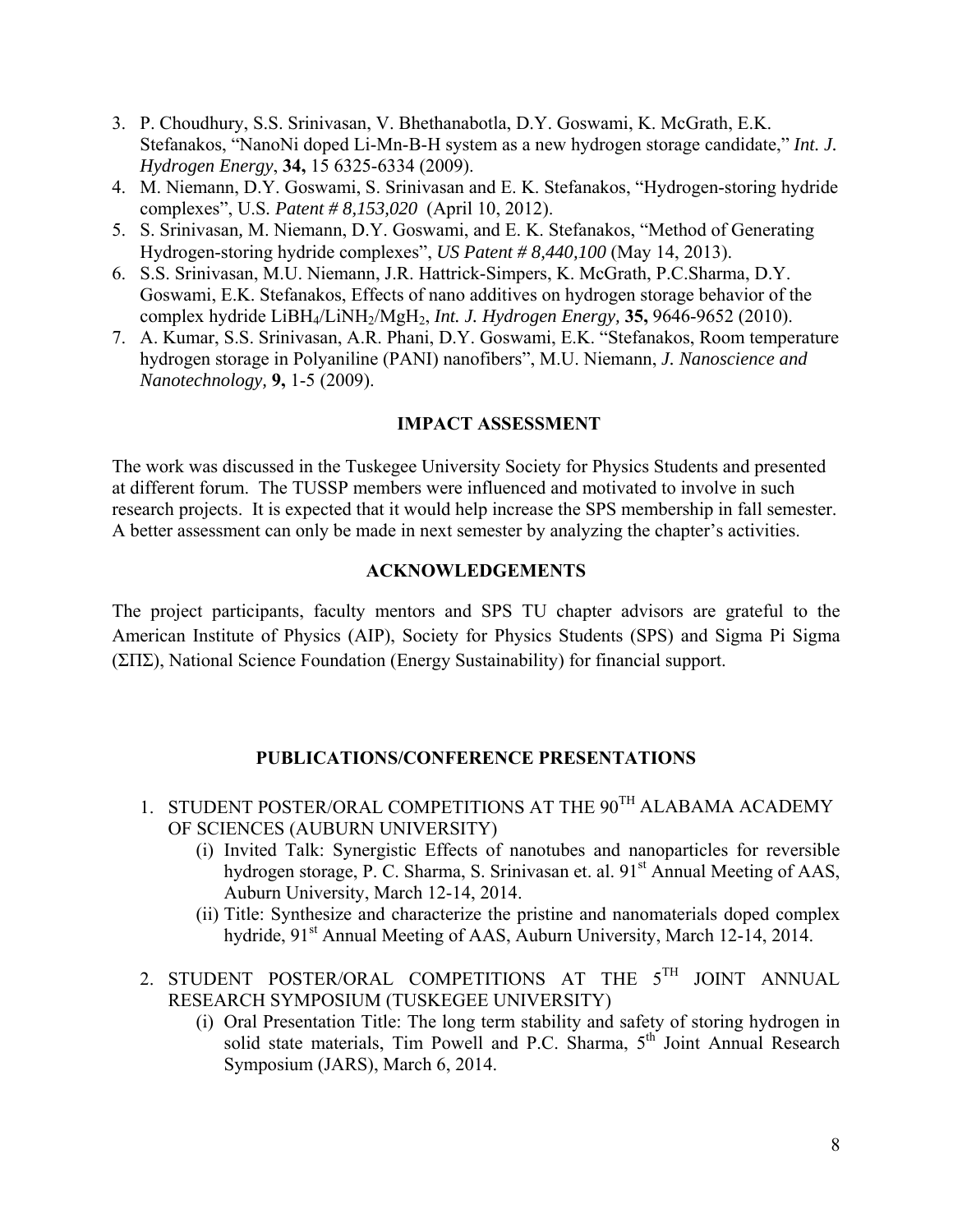- 3. P. Choudhury, S.S. Srinivasan, V. Bhethanabotla, D.Y. Goswami, K. McGrath, E.K. Stefanakos, "NanoNi doped Li-Mn-B-H system as a new hydrogen storage candidate," *Int. J. Hydrogen Energy*, **34,** 15 6325-6334 (2009).
- 4. M. Niemann, D.Y. Goswami, S. Srinivasan and E. K. Stefanakos, "Hydrogen-storing hydride complexes", U.S*. Patent # 8,153,020* (April 10, 2012).
- 5. S. Srinivasan*,* M. Niemann, D.Y. Goswami, and E. K. Stefanakos, "Method of Generating Hydrogen-storing hydride complexes", *US Patent # 8,440,100* (May 14, 2013).
- 6. S.S. Srinivasan, M.U. Niemann, J.R. Hattrick-Simpers, K. McGrath, P.C.Sharma, D.Y. Goswami, E.K. Stefanakos, Effects of nano additives on hydrogen storage behavior of the complex hydride LiBH4/LiNH2/MgH2, *Int. J. Hydrogen Energy,* **35,** 9646-9652 (2010).
- 7. A. Kumar, S.S. Srinivasan, A.R. Phani, D.Y. Goswami, E.K. "Stefanakos, Room temperature hydrogen storage in Polyaniline (PANI) nanofibers", M.U. Niemann, *J. Nanoscience and Nanotechnology,* **9,** 1-5 (2009).

# **IMPACT ASSESSMENT**

The work was discussed in the Tuskegee University Society for Physics Students and presented at different forum. The TUSSP members were influenced and motivated to involve in such research projects. It is expected that it would help increase the SPS membership in fall semester. A better assessment can only be made in next semester by analyzing the chapter's activities.

# **ACKNOWLEDGEMENTS**

The project participants, faculty mentors and SPS TU chapter advisors are grateful to the American Institute of Physics (AIP), Society for Physics Students (SPS) and Sigma Pi Sigma (ΣΠΣ), National Science Foundation (Energy Sustainability) for financial support.

# **PUBLICATIONS/CONFERENCE PRESENTATIONS**

- 1. STUDENT POSTER/ORAL COMPETITIONS AT THE 90<sup>TH</sup> ALABAMA ACADEMY OF SCIENCES (AUBURN UNIVERSITY)
	- (i) Invited Talk: Synergistic Effects of nanotubes and nanoparticles for reversible hydrogen storage, P. C. Sharma, S. Srinivasan et. al. 91<sup>st</sup> Annual Meeting of AAS, Auburn University, March 12-14, 2014.
	- (ii) Title: Synthesize and characterize the pristine and nanomaterials doped complex hydride, 91<sup>st</sup> Annual Meeting of AAS, Auburn University, March 12-14, 2014.
- 2. STUDENT POSTER/ORAL COMPETITIONS AT THE 5TH JOINT ANNUAL RESEARCH SYMPOSIUM (TUSKEGEE UNIVERSITY)
	- (i) Oral Presentation Title: The long term stability and safety of storing hydrogen in solid state materials, Tim Powell and P.C. Sharma, 5<sup>th</sup> Joint Annual Research Symposium (JARS), March 6, 2014.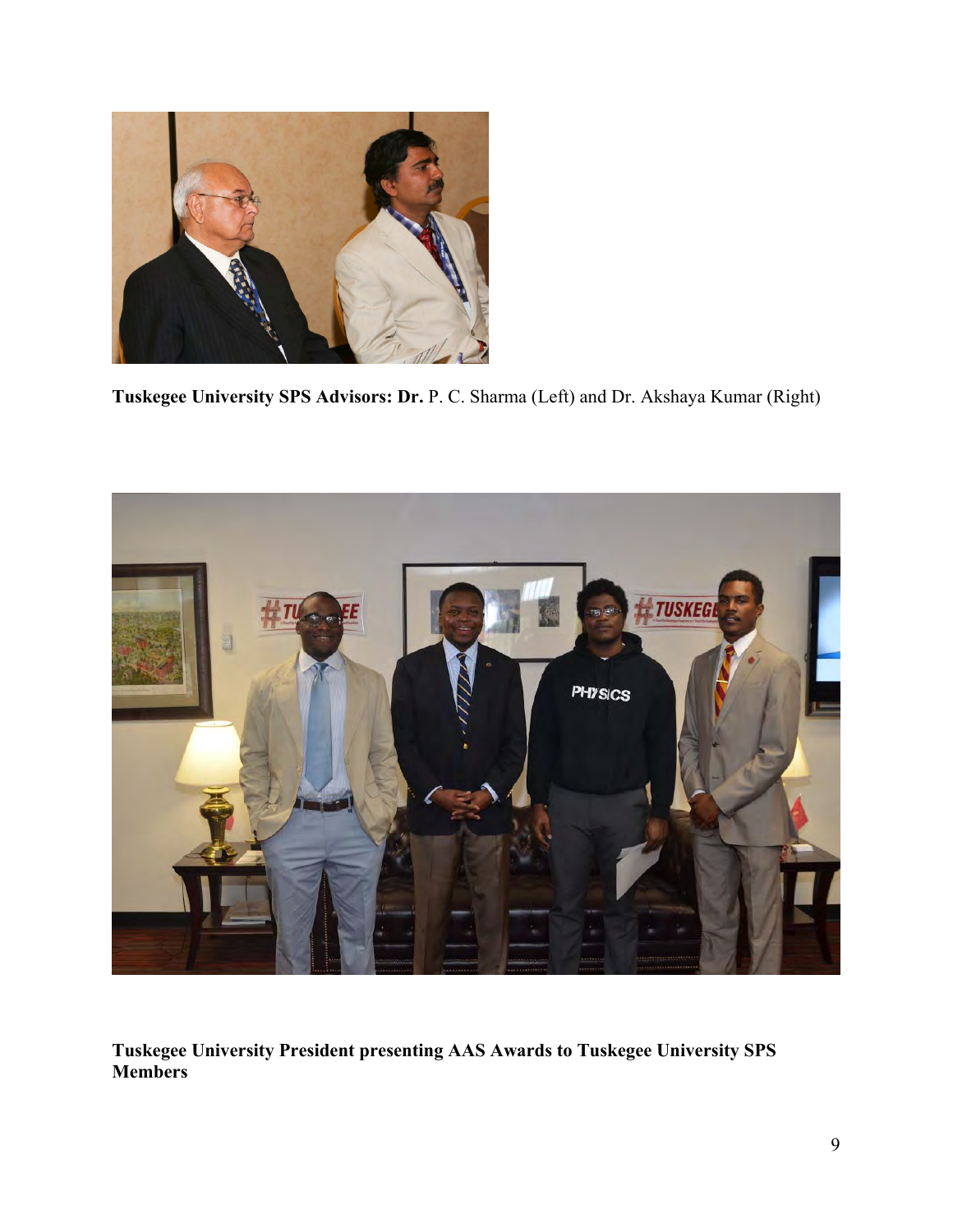

**Tuskegee University SPS Advisors: Dr.** P. C. Sharma (Left) and Dr. Akshaya Kumar (Right)



**Tuskegee University President presenting AAS Awards to Tuskegee University SPS Members**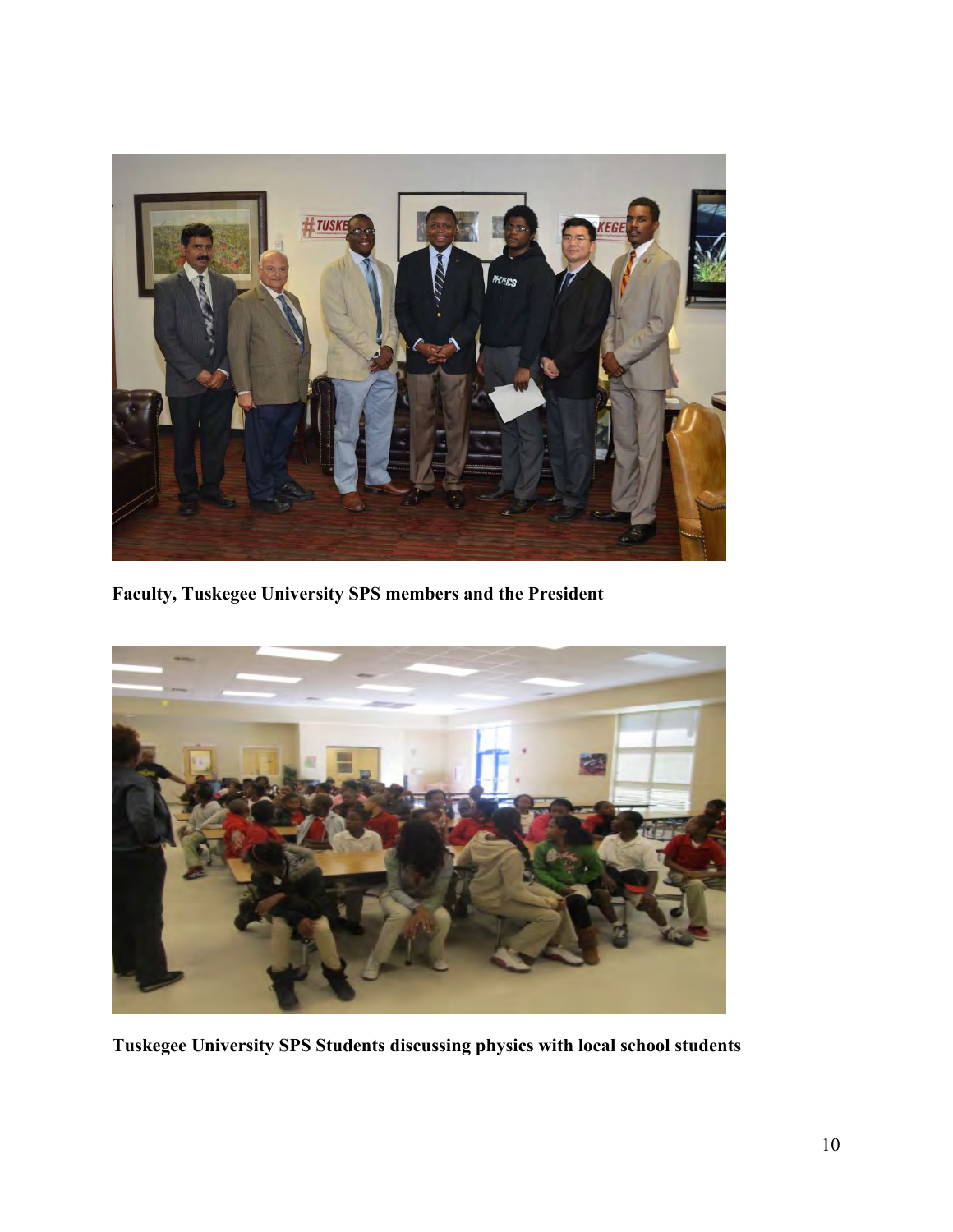

**Faculty, Tuskegee University SPS members and the President** 



**Tuskegee University SPS Students discussing physics with local school students**